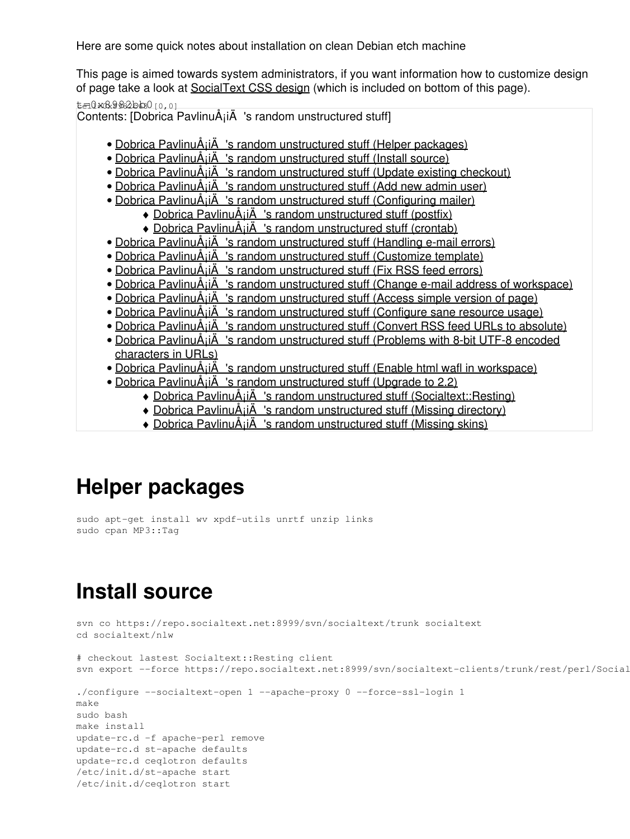Here are some quick notes about installation on clean Debian etch machine

This page is aimed towards system administrators, if you want information how to customize design of page take a look at [SocialText CSS design](https://saturn.ffzg.hr/rot13/index.cgi?socialtext_css_design) (which is included on bottom of this page).

t=0x8982bb0 cell

Contents: [Dobrica PavlinuÅ<sub>i</sub> iÄ's random unstructured stuff] • Dobrica PavlinuÅ; iÄ's random unstructured stuff (Helper packages) • Dobrica PavlinuÅ<sub>i</sub>iÄ 's random unstructured stuff (Install source) • Dobrica PavlinuÅ<sub>i</sub>jÄ 's random unstructured stuff (Update existing checkout) • Dobrica PavlinuÅ<sub>i</sub>jÄ 's random unstructured stuff (Add new admin user) • Dobrica PavlinuÅ<sub>j</sub>iÄ 's random unstructured stuff (Configuring mailer) ◆ Dobrica PavlinuÅ<sub>i</sub>iÄ 's random unstructured stuff (postfix) ◆ Dobrica PavlinuÅ¡iÄ 's random unstructured stuff (crontab) • Dobrica PavlinuÅ<sub>i</sub>jÄ 's random unstructured stuff (Handling e-mail errors) • Dobrica PavlinuÅ<sub>j</sub>iÄ 's random unstructured stuff (Customize template) • Dobrica PavlinuÅ<sub>j</sub>iÄ's random unstructured stuff (Fix RSS feed errors) • Dobrica PavlinuÅ<sub>i</sub>jÄ 's random unstructured stuff (Change e-mail address of workspace) • Dobrica PavlinuÅ<sub>i</sub>jÄ 's random unstructured stuff (Access simple version of page) • Dobrica PavlinuÅ¡iÄ 's random unstructured stuff (Configure sane resource usage) • Dobrica PavlinuÅ<sub>i</sub>jÄ 's random unstructured stuff (Convert RSS feed URLs to absolute) • Dobrica PavlinuA<sub>i</sub>iA 's random unstructured stuff (Problems with 8-bit UTF-8 encoded [characters in URLs\)](https://saturn.ffzg.hr/rot13/index.cgi?dobrica_pavlinu%C5%A1i%C4%87_s_random_unstructured_stuff#problems_with_8_bit_utf_8_encoded_characters_in_urls) • Dobrica PavlinuÅ¡iÄ 's random unstructured stuff (Enable html wafl in workspace) • Dobrica PavlinuÅ; iÄ's random unstructured stuff (Upgrade to 2.2) ◆ Dobrica PavlinuÅ¡iÄ 's random unstructured stuff (Socialtext::Resting)  $\bullet$  Dobrica PavlinuÅ $i\overrightarrow{A}$  's random unstructured stuff (Missing directory) ◆ Dobrica PavlinuÅ<sub>i</sub>iÄ's random unstructured stuff (Missing skins)

# **Helper packages**

sudo apt-get install wv xpdf-utils unrtf unzip links sudo cpan MP3::Tag

# **Install source**

```
svn co https://repo.socialtext.net:8999/svn/socialtext/trunk socialtext
cd socialtext/nlw
# checkout lastest Socialtext::Resting client
svn export --force https://repo.socialtext.net:8999/svn/socialtext-clients/trunk/rest/perl/Social
./configure --socialtext-open 1 --apache-proxy 0 --force-ssl-login 1
make
sudo bash
make install
update-rc.d -f apache-perl remove
update-rc.d st-apache defaults
update-rc.d ceqlotron defaults
/etc/init.d/st-apache start
/etc/init.d/ceqlotron start
```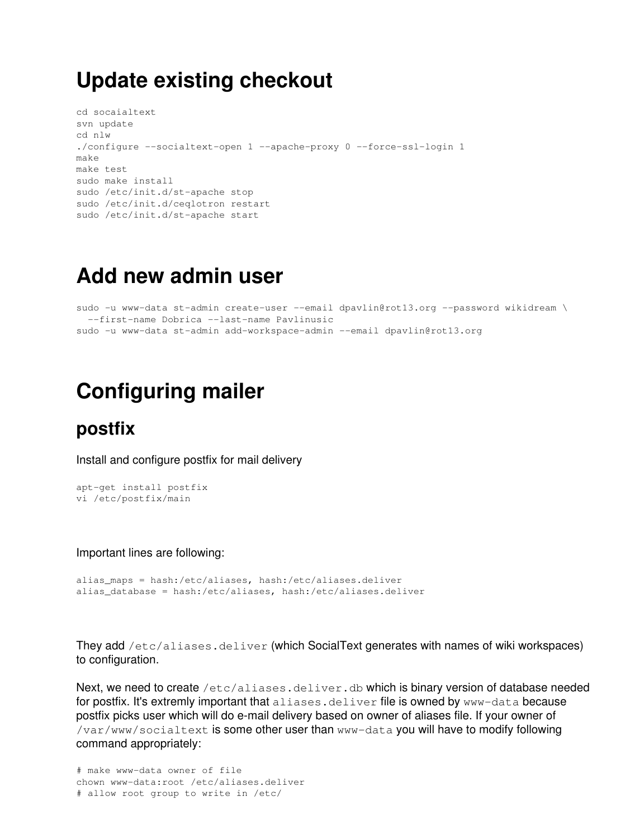## **Update existing checkout**

```
cd socaialtext
svn update
cd nlw
./configure --socialtext-open 1 --apache-proxy 0 --force-ssl-login 1
make
make test
sudo make install
sudo /etc/init.d/st-apache stop
sudo /etc/init.d/ceqlotron restart
sudo /etc/init.d/st-apache start
```
## **Add new admin user**

sudo -u www-data st-admin create-user --email dpavlin@rot13.org --password wikidream \ --first-name Dobrica --last-name Pavlinusic sudo -u www-data st-admin add-workspace-admin --email dpavlin@rot13.org

## **Configuring mailer**

#### **postfix**

Install and configure postfix for mail delivery

```
apt-get install postfix
vi /etc/postfix/main
```
Important lines are following:

```
alias_maps = hash:/etc/aliases, hash:/etc/aliases.deliver
alias_database = hash:/etc/aliases, hash:/etc/aliases.deliver
```
They add /etc/aliases.deliver (which SocialText generates with names of wiki workspaces) to configuration.

Next, we need to create /etc/aliases.deliver.db which is binary version of database needed for postfix. It's extremly important that aliases.deliver file is owned by www-data because postfix picks user which will do e-mail delivery based on owner of aliases file. If your owner of /var/www/socialtext is some other user than www-data you will have to modify following command appropriately:

```
# make www-data owner of file
chown www-data:root /etc/aliases.deliver
# allow root group to write in /etc/
```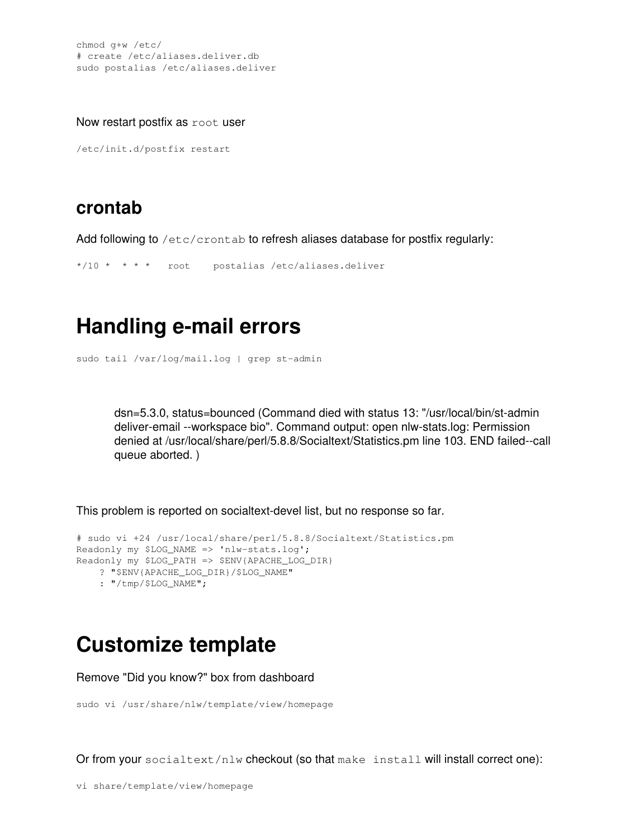chmod g+w /etc/ # create /etc/aliases.deliver.db sudo postalias /etc/aliases.deliver

Now restart postfix as root user

/etc/init.d/postfix restart

#### **crontab**

Add following to /etc/crontab to refresh aliases database for postfix regularly:

\*/10 \* \* \* \* root postalias /etc/aliases.deliver

## **Handling e-mail errors**

sudo tail /var/log/mail.log | grep st-admin

dsn=5.3.0, status=bounced (Command died with status 13: "/usr/local/bin/st-admin deliver-email --workspace bio". Command output: open nlw-stats.log: Permission denied at /usr/local/share/perl/5.8.8/Socialtext/Statistics.pm line 103. END failed--call queue aborted. )

This problem is reported on socialtext-devel list, but no response so far.

```
# sudo vi +24 /usr/local/share/perl/5.8.8/Socialtext/Statistics.pm
Readonly my $LOG_NAME => 'nlw-stats.log';
Readonly my $LOG_PATH => $ENV{APACHE_LOG_DIR}
    ? "$ENV{APACHE_LOG_DIR}/$LOG_NAME" 
    : "/tmp/$LOG_NAME";
```
## **Customize template**

Remove "Did you know?" box from dashboard

```
sudo vi /usr/share/nlw/template/view/homepage
```
Or from your socialtext/nlw checkout (so that make install will install correct one):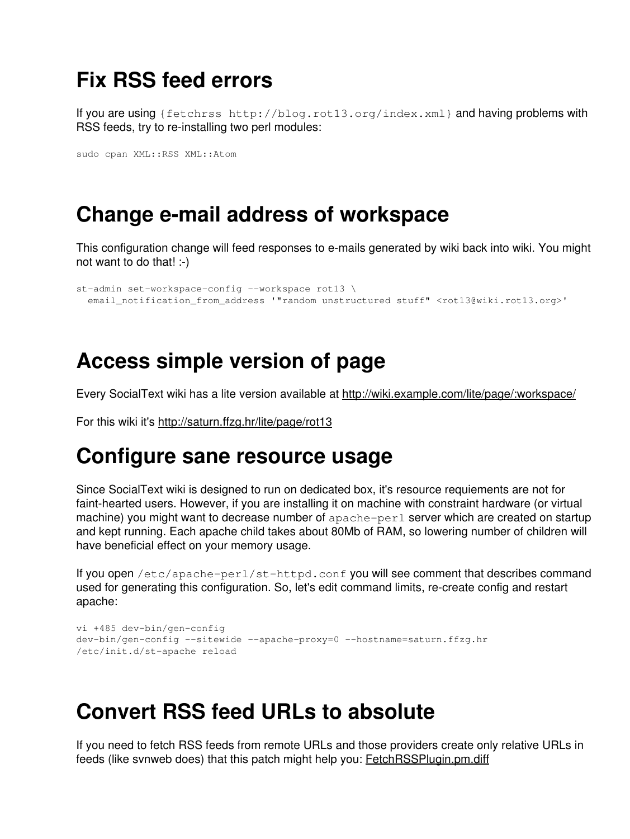## **Fix RSS feed errors**

If you are using {fetchrss http://blog.rot13.org/index.xml} and having problems with RSS feeds, try to re-installing two perl modules:

sudo cpan XML::RSS XML::Atom

## **Change e-mail address of workspace**

This configuration change will feed responses to e-mails generated by wiki back into wiki. You might not want to do that! :-)

```
st-admin set-workspace-config --workspace rot13 \
  email_notification_from_address '"random unstructured stuff" <rot13@wiki.rot13.org>'
```
## **Access simple version of page**

Every SocialText wiki has a lite version available at<http://wiki.example.com/lite/page/:workspace/>

For this wiki it's<http://saturn.ffzg.hr/lite/page/rot13>

## **Configure sane resource usage**

Since SocialText wiki is designed to run on dedicated box, it's resource requiements are not for faint-hearted users. However, if you are installing it on machine with constraint hardware (or virtual machine) you might want to decrease number of apache-perl server which are created on startup and kept running. Each apache child takes about 80Mb of RAM, so lowering number of children will have beneficial effect on your memory usage.

If you open /etc/apache-perl/st-httpd.conf you will see comment that describes command used for generating this configuration. So, let's edit command limits, re-create config and restart apache:

```
vi +485 dev-bin/gen-config
dev-bin/gen-config --sitewide --apache-proxy=0 --hostname=saturn.ffzg.hr
/etc/init.d/st-apache reload
```
## **Convert RSS feed URLs to absolute**

If you need to fetch RSS feeds from remote URLs and those providers create only relative URLs in feeds (like svnweb does) that this patch might help you: [FetchRSSPlugin.pm.diff](https://saturn.ffzg.hr/rot13/index.cgi/FetchRSSPlugin.pm.diff?action=attachments_download;page_name=socialtext_open_wiki_install;id=20070930135911-0-21709)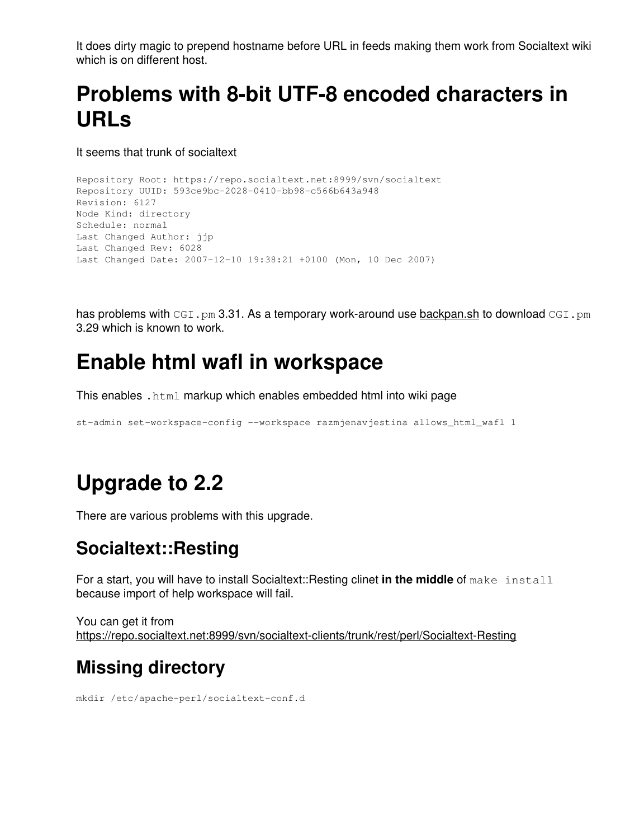It does dirty magic to prepend hostname before URL in feeds making them work from Socialtext wiki which is on different host.

# **Problems with 8-bit UTF-8 encoded characters in URLs**

It seems that trunk of socialtext

```
Repository Root: https://repo.socialtext.net:8999/svn/socialtext
Repository UUID: 593ce9bc-2028-0410-bb98-c566b643a948
Revision: 6127
Node Kind: directory
Schedule: normal
Last Changed Author: jjp
Last Changed Rev: 6028
Last Changed Date: 2007-12-10 19:38:21 +0100 (Mon, 10 Dec 2007)
```
has problems with CGI.pm 3.31. As a temporary work-around use [backpan.sh](https://saturn.ffzg.hr/rot13/index.cgi/backpan.sh?action=attachments_download;page_name=socialtext_open_wiki_install;id=20071215215102-0-8116) to download CGI.pm 3.29 which is known to work.

## **Enable html wafl in workspace**

This enables .html markup which enables embedded html into wiki page

st-admin set-workspace-config --workspace razmjenavjestina allows\_html\_wafl 1

## **Upgrade to 2.2**

There are various problems with this upgrade.

#### **Socialtext::Resting**

For a start, you will have to install Socialtext::Resting clinet **in the middle** of make install because import of help workspace will fail.

You can get it from <https://repo.socialtext.net:8999/svn/socialtext-clients/trunk/rest/perl/Socialtext-Resting>

#### **Missing directory**

mkdir /etc/apache-perl/socialtext-conf.d